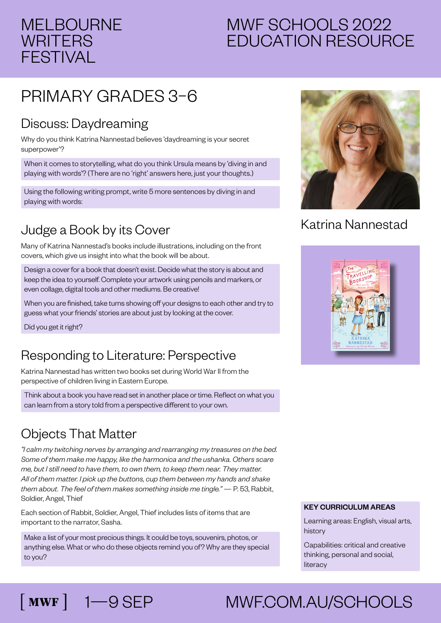## MELBOURNE **WRITERS** FESTIVAL

# MWF SCHOOLS 2022 EDUCATION RESOURCE

# PRIMARY GRADES 3–6

#### Discuss: Daydreaming

Why do you think Katrina Nannestad believes 'daydreaming is your secret superpower'?

When it comes to storytelling, what do you think Ursula means by 'diving in and playing with words'? (There are no 'right' answers here, just your thoughts.)

Using the following writing prompt, write 5 more sentences by diving in and playing with words:

## Judge a Book by its Cover

Many of Katrina Nannestad's books include illustrations, including on the front covers, which give us insight into what the book will be about.

Design a cover for a book that doesn't exist. Decide what the story is about and keep the idea to yourself. Complete your artwork using pencils and markers, or even collage, digital tools and other mediums. Be creative!

When you are finished, take turns showing off your designs to each other and try to guess what your friends' stories are about just by looking at the cover.

Did you get it right?

### Responding to Literature: Perspective

Katrina Nannestad has written two books set during World War II from the perspective of children living in Eastern Europe.

Think about a book you have read set in another place or time. Reflect on what you can learn from a story told from a perspective different to your own.

### Objects That Matter

*"I calm my twitching nerves by arranging and rearranging my treasures on the bed. Some of them make me happy, like the harmonica and the ushanka. Others scare me, but I still need to have them, to own them, to keep them near. They matter. All of them matter. I pick up the buttons, cup them between my hands and shake them about. The feel of them makes something inside me tingle."* — P. 53, Rabbit, Soldier, Angel, Thief

Each section of Rabbit, Soldier, Angel, Thief includes lists of items that are important to the narrator, Sasha.

Make a list of your most precious things. It could be toys, souvenirs, photos, or anything else. What or who do these objects remind you of? Why are they special to you?



#### Katrina Nannestad



#### KEY CURRICULUM AREAS

Learning areas: English, visual arts, history

Capabilities: critical and creative thinking, personal and social, literacy

# 1—9 SEP MWF.COM.AU/SCHOOLS